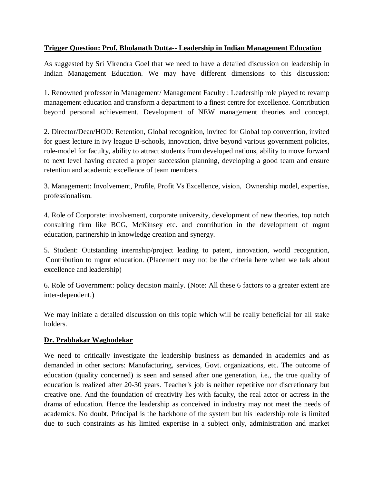# **Trigger Question: Prof. Bholanath Dutta-- Leadership in Indian Management Education**

As suggested by Sri Virendra Goel that we need to have a detailed discussion on leadership in Indian Management Education. We may have different dimensions to this discussion:

1. Renowned professor in Management/ Management Faculty : Leadership role played to revamp management education and transform a department to a finest centre for excellence. Contribution beyond personal achievement. Development of NEW management theories and concept.

2. Director/Dean/HOD: Retention, Global recognition, invited for Global top convention, invited for guest lecture in ivy league B-schools, innovation, drive beyond various government policies, role-model for faculty, ability to attract students from developed nations, ability to move forward to next level having created a proper succession planning, developing a good team and ensure retention and academic excellence of team members.

3. Management: Involvement, Profile, Profit Vs Excellence, vision, Ownership model, expertise, professionalism.

4. Role of Corporate: involvement, corporate university, development of new theories, top notch consulting firm like BCG, McKinsey etc. and contribution in the development of mgmt education, partnership in knowledge creation and synergy.

5. Student: Outstanding internship/project leading to patent, innovation, world recognition, Contribution to mgmt education. (Placement may not be the criteria here when we talk about excellence and leadership)

6. Role of Government: policy decision mainly. (Note: All these 6 factors to a greater extent are inter-dependent.)

We may initiate a detailed discussion on this topic which will be really beneficial for all stake holders.

# **Dr. Prabhakar Waghodekar**

We need to critically investigate the leadership business as demanded in academics and as demanded in other sectors: Manufacturing, services, Govt. organizations, etc. The outcome of education (quality concerned) is seen and sensed after one generation, i.e., the true quality of education is realized after 20-30 years. Teacher's job is neither repetitive nor discretionary but creative one. And the foundation of creativity lies with faculty, the real actor or actress in the drama of education. Hence the leadership as conceived in industry may not meet the needs of academics. No doubt, Principal is the backbone of the system but his leadership role is limited due to such constraints as his limited expertise in a subject only, administration and market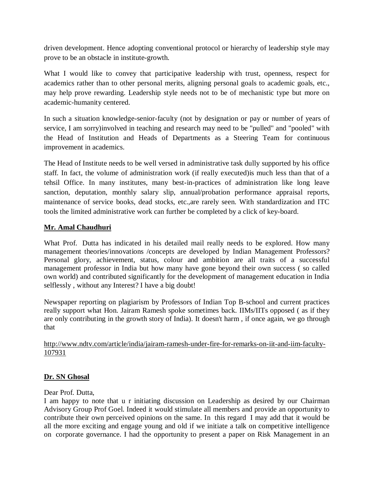driven development. Hence adopting conventional protocol or hierarchy of leadership style may prove to be an obstacle in institute-growth.

What I would like to convey that participative leadership with trust, openness, respect for academics rather than to other personal merits, aligning personal goals to academic goals, etc., may help prove rewarding. Leadership style needs not to be of mechanistic type but more on academic-humanity centered.

In such a situation knowledge-senior-faculty (not by designation or pay or number of years of service, I am sorry)involved in teaching and research may need to be "pulled" and "pooled" with the Head of Institution and Heads of Departments as a Steering Team for continuous improvement in academics.

The Head of Institute needs to be well versed in administrative task dully supported by his office staff. In fact, the volume of administration work (if really executed)is much less than that of a tehsil Office. In many institutes, many best-in-practices of administration like long leave sanction, deputation, monthly salary slip, annual/probation performance appraisal reports, maintenance of service books, dead stocks, etc.,are rarely seen. With standardization and ITC tools the limited administrative work can further be completed by a click of key-board.

# **Mr. Amal Chaudhuri**

What Prof. Dutta has indicated in his detailed mail really needs to be explored. How many management theories/innovations /concepts are developed by Indian Management Professors? Personal glory, achievement, status, colour and ambition are all traits of a successful management professor in India but how many have gone beyond their own success ( so called own world) and contributed significantly for the development of management education in India selflessly , without any Interest? I have a big doubt!

Newspaper reporting on plagiarism by Professors of Indian Top B-school and current practices really support what Hon. Jairam Ramesh spoke sometimes back. IIMs/IITs opposed ( as if they are only contributing in the growth story of India). It doesn't harm , if once again, we go through that

http://www.ndtv.com/article/india/jairam-ramesh-under-fire-for-remarks-on-iit-and-iim-faculty-107931

# **Dr. SN Ghosal**

Dear Prof. Dutta,

I am happy to note that u r initiating discussion on Leadership as desired by our Chairman Advisory Group Prof Goel. Indeed it would stimulate all members and provide an opportunity to contribute their own perceived opinions on the same. In this regard I may add that it would be all the more exciting and engage young and old if we initiate a talk on competitive intelligence on corporate governance. I had the opportunity to present a paper on Risk Management in an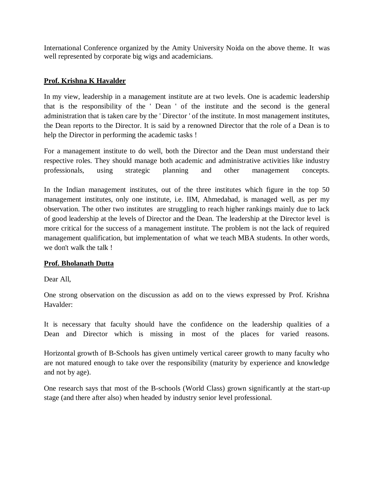International Conference organized by the Amity University Noida on the above theme. It was well represented by corporate big wigs and academicians.

# **Prof. Krishna K Havalder**

In my view, leadership in a management institute are at two levels. One is academic leadership that is the responsibility of the ' Dean ' of the institute and the second is the general administration that is taken care by the ' Director ' of the institute. In most management institutes, the Dean reports to the Director. It is said by a renowned Director that the role of a Dean is to help the Director in performing the academic tasks !

For a management institute to do well, both the Director and the Dean must understand their respective roles. They should manage both academic and administrative activities like industry professionals, using strategic planning and other management concepts.

In the Indian management institutes, out of the three institutes which figure in the top 50 management institutes, only one institute, i.e. IIM, Ahmedabad, is managed well, as per my observation. The other two institutes are struggling to reach higher rankings mainly due to lack of good leadership at the levels of Director and the Dean. The leadership at the Director level is more critical for the success of a management institute. The problem is not the lack of required management qualification, but implementation of what we teach MBA students. In other words, we don't walk the talk !

# **Prof. Bholanath Dutta**

Dear All,

One strong observation on the discussion as add on to the views expressed by Prof. Krishna Havalder:

It is necessary that faculty should have the confidence on the leadership qualities of a Dean and Director which is missing in most of the places for varied reasons.

Horizontal growth of B-Schools has given untimely vertical career growth to many faculty who are not matured enough to take over the responsibility (maturity by experience and knowledge and not by age).

One research says that most of the B-schools (World Class) grown significantly at the start-up stage (and there after also) when headed by industry senior level professional.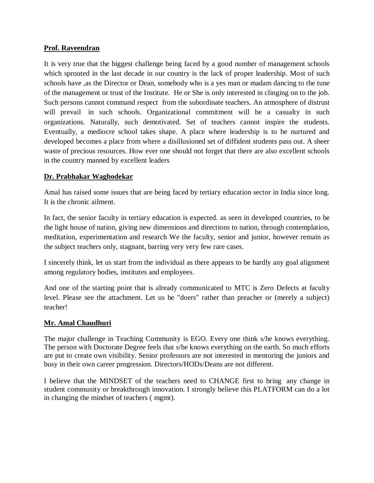### **Prof. Raveendran**

It is very true that the biggest challenge being faced by a good number of management schools which sprouted in the last decade in our country is the lack of proper leadership. Most of such schools have ,as the Director or Dean, somebody who is a yes man or madam dancing to the tune of the management or trust of the Institute. He or She is only interested in clinging on to the job. Such persons cannot command respect from the subordinate teachers. An atmosphere of distrust will prevail in such schools. Organizational commitment will be a casualty in such organizations. Naturally, such demotivated. Set of teachers cannot inspire the students. Eventually, a mediocre school takes shape. A place where leadership is to be nurtured and developed becomes a place from where a disillusioned set of diffident students pass out. A sheer waste of precious resources. How ever one should not forget that there are also excellent schools in the country manned by excellent leaders

### **Dr. Prabhakar Waghodekar**

Amal has raised some issues that are being faced by tertiary education sector in India since long. It is the chronic ailment.

In fact, the senior faculty in tertiary education is expected. as seen in developed countries, to be the light house of nation, giving new dimensions and directions to nation, through contemplation, meditation, experimentation and research We the faculty, senior and junior, however remain as the subject teachers only, stagnant, barring very very few rare cases.

I sincerely think, let us start from the individual as there appears to be hardly any goal alignment among regulatory bodies, institutes and employees.

And one of the starting point that is already communicated to MTC is Zero Defects at faculty level. Please see the attachment. Let us be "doers" rather than preacher or (merely a subject) teacher!

#### **Mr. Amal Chaudhuri**

The major challenge in Teaching Community is EGO. Every one think s/he knows everything. The person with Doctorate Degree feels that s/he knows everything on the earth. So much efforts are put to create own visibility. Senior professors are not interested in mentoring the juniors and busy in their own career progression. Directors/HODs/Deans are not different.

I believe that the MINDSET of the teachers need to CHANGE first to bring any change in student community or breakthrough innovation. I strongly believe this PLATFORM can do a lot in changing the mindset of teachers ( mgmt).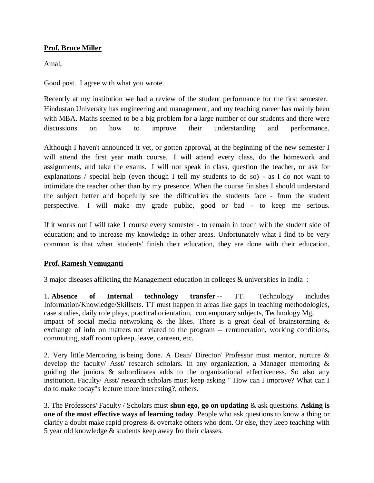# **Prof. Bruce Miller**

Amal,

Good post. I agree with what you wrote.

Recently at my institution we had a review of the student performance for the first semester. Hindustan University has engineering and management, and my teaching career has mainly been with MBA. Maths seemed to be a big problem for a large number of our students and there were discussions on how to improve their understanding and performance.

Although I haven't announced it yet, or gotten approval, at the beginning of the new semester I will attend the first year math course. I will attend every class, do the homework and assignments, and take the exams. I will not speak in class, question the teacher, or ask for explanations / special help (even though I tell my students to do so) - as I do not want to intimidate the teacher other than by my presence. When the course finishes I should understand the subject better and hopefully see the difficulties the students face - from the student perspective. I will make my grade public, good or bad - to keep me serious.

If it works out I will take 1 course every semester - to remain in touch with the student side of education; and to increase my knowledge in other areas. Unfortunately what I find to be very common is that when 'students' finish their education, they are done with their education.

# **Prof. Ramesh Vemuganti**

3 major diseases afflicting the Management education in colleges & universities in India :

1. **Absence of Internal technology transfer** -- TT. Technology includes Information/Knowledge/Skillsets. TT must happen in areas like gaps in teaching methodologies, case studies, daily role plays, practical orientation, contemporary subjects, Technology Mg, impact of social media netwroking  $\&$  the likes. There is a great deal of brainstorming  $\&$ exchange of info on matters not related to the program -- remuneration, working conditions, commuting, staff room upkeep, leave, canteen, etc.

2. Very little Mentoring is being done. A Dean/ Director/ Professor must mentor, nurture & develop the faculty/ Asst/ research scholars. In any organization, a Manager mentoring & guiding the juniors & subordinates adds to the organizational effectiveness. So also any institution. Faculty/ Asst/ research scholars must keep asking " How can I improve? What can I do to make today"s lecture more interesting?, others.

3. The Professors/ Faculty / Scholars must **shun ego, go on updating** & ask questions. **Asking is one of the most effective ways of learning today**. People who ask questions to know a thing or clarify a doubt make rapid progress & overtake others who dont. Or else, they keep teaching with 5 year old knowledge & students keep away fro their classes.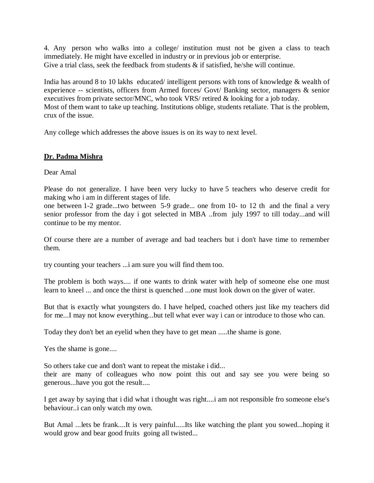4. Any person who walks into a college/ institution must not be given a class to teach immediately. He might have excelled in industry or in previous job or enterprise. Give a trial class, seek the feedback from students & if satisfied, he/she will continue.

India has around 8 to 10 lakhs educated/ intelligent persons with tons of knowledge & wealth of experience -- scientists, officers from Armed forces/ Govt/ Banking sector, managers & senior executives from private sector/MNC, who took VRS/ retired & looking for a job today. Most of them want to take up teaching. Institutions oblige, students retaliate. That is the problem, crux of the issue.

Any college which addresses the above issues is on its way to next level.

### **Dr. Padma Mishra**

Dear Amal

Please do not generalize. I have been very lucky to have 5 teachers who deserve credit for making who i am in different stages of life.

one between 1-2 grade...two between 5-9 grade... one from 10- to 12 th and the final a very senior professor from the day i got selected in MBA ..from july 1997 to till today...and will continue to be my mentor.

Of course there are a number of average and bad teachers but i don't have time to remember them.

try counting your teachers ...i am sure you will find them too.

The problem is both ways.... if one wants to drink water with help of someone else one must learn to kneel ... and once the thirst is quenched ...one must look down on the giver of water.

But that is exactly what youngsters do. I have helped, coached others just like my teachers did for me...I may not know everything...but tell what ever way i can or introduce to those who can.

Today they don't bet an eyelid when they have to get mean .....the shame is gone.

Yes the shame is gone....

So others take cue and don't want to repeat the mistake i did...

their are many of colleagues who now point this out and say see you were being so generous...have you got the result....

I get away by saying that i did what i thought was right....i am not responsible fro someone else's behaviour..i can only watch my own.

But Amal ...lets be frank....It is very painful.....Its like watching the plant you sowed...hoping it would grow and bear good fruits going all twisted...